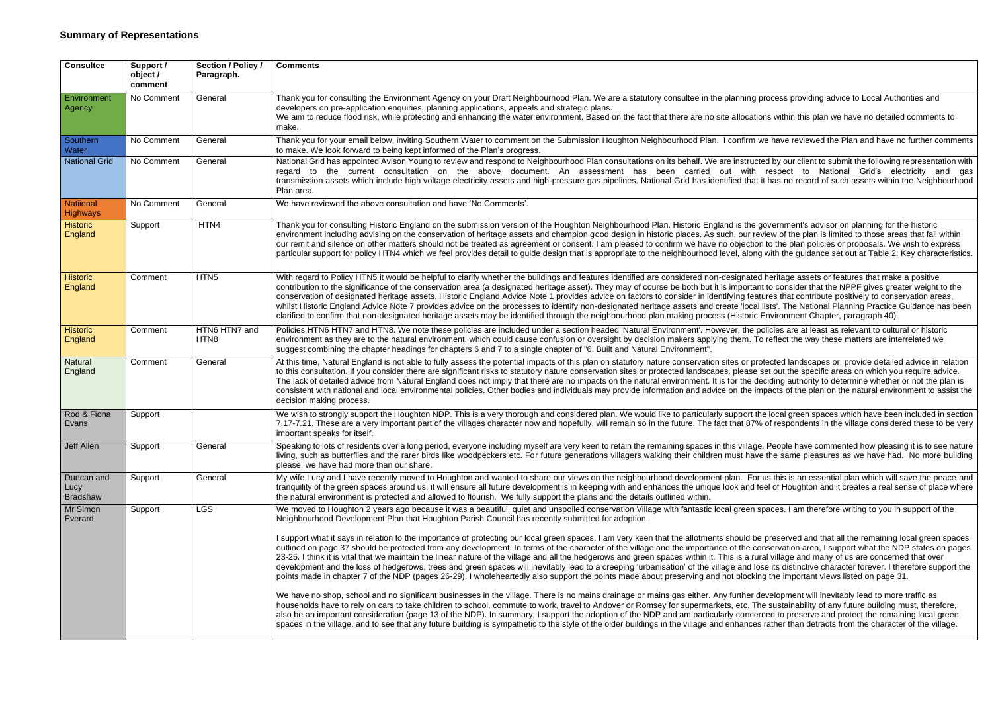| <b>Consultee</b>                      | Support /<br>object /<br>comment | Section / Policy /<br>Paragraph. | <b>Comments</b>                                                                                                                                                                                                                                                                                                                                                                                                                                                                                                                                                                                                                                                                                                                                                                                                           |
|---------------------------------------|----------------------------------|----------------------------------|---------------------------------------------------------------------------------------------------------------------------------------------------------------------------------------------------------------------------------------------------------------------------------------------------------------------------------------------------------------------------------------------------------------------------------------------------------------------------------------------------------------------------------------------------------------------------------------------------------------------------------------------------------------------------------------------------------------------------------------------------------------------------------------------------------------------------|
| Environment<br>Agency                 | No Comment                       | General                          | Thank you for consulting the Environment Agency on your Draft Neighbourhood Plan. We are a statutory consultee in the plannir<br>developers on pre-application enquiries, planning applications, appeals and strategic plans.<br>We aim to reduce flood risk, while protecting and enhancing the water environment. Based on the fact that there are no site alloc<br>make.                                                                                                                                                                                                                                                                                                                                                                                                                                               |
| Southern<br>Water                     | No Comment                       | General                          | Thank you for your email below, inviting Southern Water to comment on the Submission Houghton Neighbourhood Plan. I confir<br>to make. We look forward to being kept informed of the Plan's progress.                                                                                                                                                                                                                                                                                                                                                                                                                                                                                                                                                                                                                     |
| <b>National Grid</b>                  | No Comment                       | General                          | National Grid has appointed Avison Young to review and respond to Neighbourhood Plan consultations on its behalf. We are instr<br>the current consultation on the above document. An assessment has been carried out wi<br>regard to<br>transmission assets which include high voltage electricity assets and high-pressure gas pipelines. National Grid has identified th<br>Plan area.                                                                                                                                                                                                                                                                                                                                                                                                                                  |
| <b>Natiional</b><br><b>Highways</b>   | No Comment                       | General                          | We have reviewed the above consultation and have 'No Comments'.                                                                                                                                                                                                                                                                                                                                                                                                                                                                                                                                                                                                                                                                                                                                                           |
| <b>Historic</b><br>England            | Support                          | HTN4                             | Thank you for consulting Historic England on the submission version of the Houghton Neighbourhood Plan. Historic England is th<br>environment including advising on the conservation of heritage assets and champion good design in historic places. As such, our<br>our remit and silence on other matters should not be treated as agreement or consent. I am pleased to confirm we have no object<br>particular support for policy HTN4 which we feel provides detail to guide design that is appropriate to the neighbourhood level, al                                                                                                                                                                                                                                                                               |
| <b>Historic</b><br>England            | Comment                          | HTN <sub>5</sub>                 | With regard to Policy HTN5 it would be helpful to clarify whether the buildings and features identified are considered non-designa<br>contribution to the significance of the conservation area (a designated heritage asset). They may of course be both but it is import<br>conservation of designated heritage assets. Historic England Advice Note 1 provides advice on factors to consider in identifying f<br>whilst Historic England Advice Note 7 provides advice on the processes to identify non-designated heritage assets and create 'lo<br>clarified to confirm that non-designated heritage assets may be identified through the neighbourhood plan making process (Histo                                                                                                                                   |
| <b>Historic</b><br>England            | Comment                          | HTN6 HTN7 and<br>HTN8            | Policies HTN6 HTN7 and HTN8. We note these policies are included under a section headed 'Natural Environment'. However, th<br>environment as they are to the natural environment, which could cause confusion or oversight by decision makers applying them<br>suggest combining the chapter headings for chapters 6 and 7 to a single chapter of "6. Built and Natural Environment".                                                                                                                                                                                                                                                                                                                                                                                                                                     |
| Natural<br>England                    | Comment                          | General                          | At this time, Natural England is not able to fully assess the potential impacts of this plan on statutory nature conservation sites or<br>to this consultation. If you consider there are significant risks to statutory nature conservation sites or protected landscapes, plea<br>The lack of detailed advice from Natural England does not imply that there are no impacts on the natural environment. It is for the<br>consistent with national and local environmental policies. Other bodies and individuals may provide information and advice on the<br>decision making process.                                                                                                                                                                                                                                  |
| Rod & Fiona<br>Evans                  | Support                          |                                  | We wish to strongly support the Houghton NDP. This is a very thorough and considered plan. We would like to particularly suppoi<br>7.17-7.21. These are a very important part of the villages character now and hopefully, will remain so in the future. The fact that 8<br>important speaks for itself.                                                                                                                                                                                                                                                                                                                                                                                                                                                                                                                  |
| Jeff Allen                            | Support                          | General                          | Speaking to lots of residents over a long period, everyone including myself are very keen to retain the remaining spaces in this villa<br>living, such as butterflies and the rarer birds like woodpeckers etc. For future generations villagers walking their children must h<br>please, we have had more than our share.                                                                                                                                                                                                                                                                                                                                                                                                                                                                                                |
| Duncan and<br>Lucy<br><b>Bradshaw</b> | Support                          | General                          | My wife Lucy and I have recently moved to Houghton and wanted to share our views on the neighbourhood development plan. I<br>tranquility of the green spaces around us, it will ensure all future development is in keeping with and enhances the unique look an<br>the natural environment is protected and allowed to flourish. We fully support the plans and the details outlined within.                                                                                                                                                                                                                                                                                                                                                                                                                             |
| Mr Simon<br>Everard                   | Support                          | <b>LGS</b>                       | We moved to Houghton 2 years ago because it was a beautiful, quiet and unspoiled conservation Village with fantastic local gree<br>Neighbourhood Development Plan that Houghton Parish Council has recently submitted for adoption.<br>I support what it says in relation to the importance of protecting our local green spaces. I am very keen that the allotments should<br>outlined on page 37 should be protected from any development. In terms of the character of the village and the importance of the                                                                                                                                                                                                                                                                                                           |
|                                       |                                  |                                  | 23-25. I think it is vital that we maintain the linear nature of the village and all the hedgerows and green spaces within it. This is a<br>development and the loss of hedgerows, trees and green spaces will inevitably lead to a creeping 'urbanisation' of the village and<br>points made in chapter 7 of the NDP (pages 26-29). I wholeheartedly also support the points made about preserving and not bloo<br>We have no shop, school and no significant businesses in the village. There is no mains drainage or mains gas either. Any furthe<br>households have to rely on cars to take children to school, commute to work, travel to Andover or Romsey for supermarkets, etc.<br>also be an important consideration (page 13 of the NDP). In summary, I support the adoption of the NDP and am particularly con |
|                                       |                                  |                                  | spaces in the village, and to see that any future building is sympathetic to the style of the older buildings in the village and enhan                                                                                                                                                                                                                                                                                                                                                                                                                                                                                                                                                                                                                                                                                    |

Ing process providing advice to Local Authorities and

cations within this plan we have no detailed comments to

rm we have reviewed the Plan and have no further comments

ructed by our client to submit the following representation with rith respect to National Grid's electricity and gas hat it has no record of such assets within the Neighbourhood.

he government's advisor on planning for the historic r review of the plan is limited to those areas that fall within ction to the plan policies or proposals. We wish to express long with the guidance set out at Table 2: Key characteristics.

ated heritage assets or features that make a positive ortant to consider that the NPPF gives greater weight to the features that contribute positively to conservation areas, ocal lists'. The National Planning Practice Guidance has been oric Environment Chapter, paragraph 40).

he policies are at least as relevant to cultural or historic n. To reflect the way these matters are interrelated we

comment at this time to fully a to fully a protected in potential inputs of this protected landscapes or, provide detailed advice in relation ase set out the specific areas on which you require advice. e deciding authority to determine whether or not the plan is e impacts of the plan on the natural environment to assist the

Int the local green spaces which have been included in section 87% of respondents in the village considered these to be very

lage. People have commented how pleasing it is to see nature have the same pleasures as we have had. No more building

For us this is an essential plan which will save the peace and nd feel of Houghton and it creates a real sense of place where

en spaces. I am therefore writing to you in support of the

I be preserved and that all the remaining local green spaces. e conservation area, I support what the NDP states on pages i rural village and many of us are concerned that over d lose its distinctive character forever. I therefore support the ocking the important views listed on page 31.

er development will inevitably lead to more traffic as The sustainability of any future building must, therefore, ncerned to preserve and protect the remaining local green ices rather than detracts from the character of the village.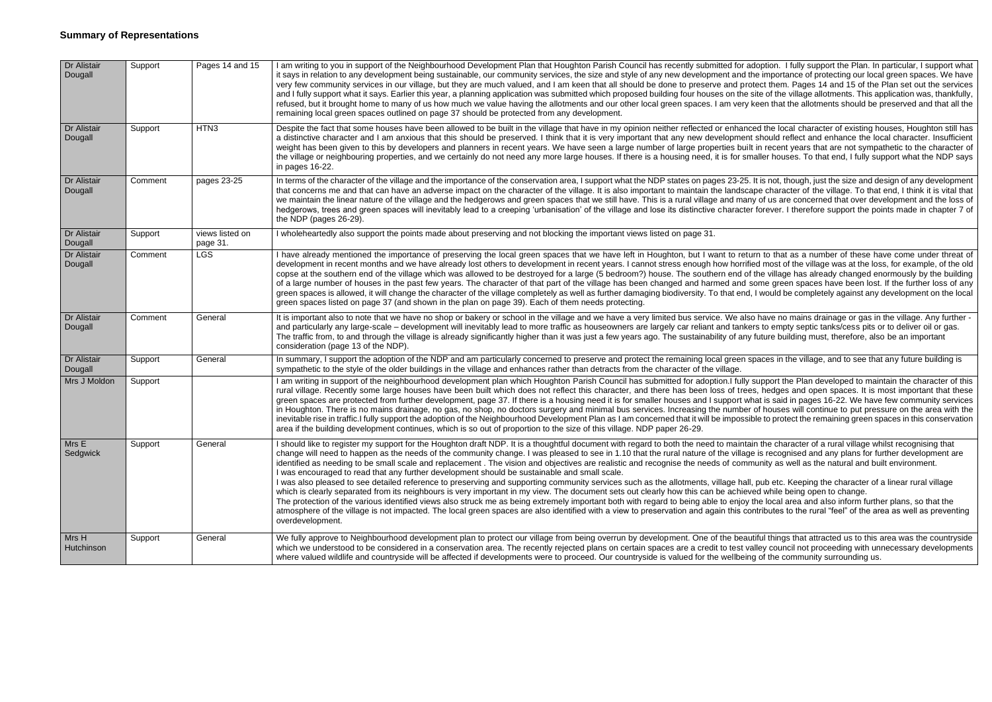| Dr Alistair<br>Dougall | Support | Pages 14 and 15             | I am writing to you in support of the Neighbourhood Development Plan that Houghton Parish Council has recently submitted for a<br>it says in relation to any development being sustainable, our community services, the size and style of any new development and<br>very few community services in our village, but they are much valued, and I am keen that all should be done to preserve and pro<br>and I fully support what it says. Earlier this year, a planning application was submitted which proposed building four houses on the<br>refused, but it brought home to many of us how much we value having the allotments and our other local green spaces. I am very<br>remaining local green spaces outlined on page 37 should be protected from any development.                                                                                                                                                                                                                                                                                                           |
|------------------------|---------|-----------------------------|----------------------------------------------------------------------------------------------------------------------------------------------------------------------------------------------------------------------------------------------------------------------------------------------------------------------------------------------------------------------------------------------------------------------------------------------------------------------------------------------------------------------------------------------------------------------------------------------------------------------------------------------------------------------------------------------------------------------------------------------------------------------------------------------------------------------------------------------------------------------------------------------------------------------------------------------------------------------------------------------------------------------------------------------------------------------------------------|
| Dr Alistair<br>Dougall | Support | HTN3                        | Despite the fact that some houses have been allowed to be built in the village that have in my opinion neither reflected or enhand<br>a distinctive character and I am anxious that this should be preserved. I think that it is very important that any new developmer<br>weight has been given to this by developers and planners in recent years. We have seen a large number of large properties bui<br>the village or neighbouring properties, and we certainly do not need any more large houses. If there is a housing need, it is for sr<br>in pages 16-22.                                                                                                                                                                                                                                                                                                                                                                                                                                                                                                                    |
| Dr Alistair<br>Dougall | Comment | pages 23-25                 | In terms of the character of the village and the importance of the conservation area, I support what the NDP states on pages 23-25<br>that concerns me and that can have an adverse impact on the character of the village. It is also important to maintain the landsc<br>we maintain the linear nature of the village and the hedgerows and green spaces that we still have. This is a rural village and maintain the linear nature of the village and maintain<br>hedgerows, trees and green spaces will inevitably lead to a creeping 'urbanisation' of the village and lose its distinctive characte<br>the NDP (pages 26-29).                                                                                                                                                                                                                                                                                                                                                                                                                                                    |
| Dr Alistair<br>Dougall | Support | views listed on<br>page 31. | I wholeheartedly also support the points made about preserving and not blocking the important views listed on page 31.                                                                                                                                                                                                                                                                                                                                                                                                                                                                                                                                                                                                                                                                                                                                                                                                                                                                                                                                                                 |
| Dr Alistair<br>Dougall | Comment | <b>LGS</b>                  | I have already mentioned the importance of preserving the local green spaces that we have left in Houghton, but I want to ret<br>development in recent months and we have already lost others to development in recent years. I cannot stress enough how horrif<br>copse at the southern end of the village which was allowed to be destroyed for a large (5 bedroom?) house. The southern end o<br>of a large number of houses in the past few years. The character of that part of the village has been changed and harmed and<br>green spaces is allowed, it will change the character of the village completely as well as further damaging biodiversity. To that enc<br>green spaces listed on page 37 (and shown in the plan on page 39). Each of them needs protecting.                                                                                                                                                                                                                                                                                                         |
| Dr Alistair<br>Dougall | Comment | General                     | It is important also to note that we have no shop or bakery or school in the village and we have a very limited bus service. We als<br>and particularly any large-scale – development will inevitably lead to more traffic as houseowners are largely car reliant and tank<br>The traffic from, to and through the village is already significantly higher than it was just a few years ago. The sustainability of any<br>consideration (page 13 of the NDP).                                                                                                                                                                                                                                                                                                                                                                                                                                                                                                                                                                                                                          |
| Dr Alistair<br>Dougall | Support | General                     | In summary, I support the adoption of the NDP and am particularly concerned to preserve and protect the remaining local green and protect the remaining local green<br>sympathetic to the style of the older buildings in the village and enhances rather than detracts from the character of the village.                                                                                                                                                                                                                                                                                                                                                                                                                                                                                                                                                                                                                                                                                                                                                                             |
| Mrs J Moldon           | Support |                             | I am writing in support of the neighbourhood development plan which Houghton Parish Council has submitted for adoption.I fully<br>rural village. Recently some large houses have been built which does not reflect this character, and there has been loss of tree<br>green spaces are protected from further development, page 37. If there is a housing need it is for smaller houses and I support w<br>in Houghton. There is no mains drainage, no gas, no shop, no doctors surgery and minimal bus services. Increasing the numbe<br>inevitable rise in traffic. I fully support the adoption of the Neighbourhood Development Plan as I am concerned that it will be imposs<br>area if the building development continues, which is so out of proportion to the size of this village. NDP paper 26-29.                                                                                                                                                                                                                                                                           |
| Mrs E<br>Sedgwick      | Support | General                     | I should like to register my support for the Houghton draft NDP. It is a thoughtful document with regard to both the need to mainta<br>change will need to happen as the needs of the community change. I was pleased to see in 1.10 that the rural nature of the villag<br>identified as needing to be small scale and replacement. The vision and objectives are realistic and recognise the needs of comi<br>I was encouraged to read that any further development should be sustainable and small scale.<br>I was also pleased to see detailed reference to preserving and supporting community services such as the allotments, village hal<br>which is clearly separated from its neighbours is very important in my view. The document sets out clearly how this can be achier<br>The protection of the various identified views also struck me as being extremely important both with regard to being able to enjoy<br>atmosphere of the village is not impacted. The local green spaces are also identified with a view to preservation and again this co<br>overdevelopment. |
| Mrs H<br>Hutchinson    | Support | General                     | We fully approve to Neighbourhood development plan to protect our village from being overrun by development. One of the bear<br>which we understood to be considered in a conservation area. The recently rejected plans on certain spaces are a credit to test v<br>where valued will life and countryside will be affected if developments were to proceed. Our countryside is valued for the wellbein                                                                                                                                                                                                                                                                                                                                                                                                                                                                                                                                                                                                                                                                               |

adoption. I fully support the Plan. In particular, I support what the importance of protecting our local green spaces. We have otect them. Pages 14 and 15 of the Plan set out the services site of the village allotments. This application was, thankfully, keen that the allotments should be preserved and that all the

ced the local character of existing houses. Houghton still has nt should reflect and enhance the local character. Insufficient ilt in recent years that are not sympathetic to the character of maller houses. To that end, I fully support what the NDP says

It is not, though, just the size and design of any development cape character of the village. To that end, I think it is vital that any of us are concerned that over development and the loss of er forever. I therefore support the points made in chapter 7 of

turn to that as a number of these have come under threat of fied most of the village was at the loss, for example, of the old of the village has already changed enormously by the building some green spaces have been lost. If the further loss of any I, I would be completely against any development on the local

so have no mains drainage or gas in the village. Any further kers to empty septic tanks/cess pits or to deliver oil or gas. iy future building must, therefore, also be an important

spaces in the village, and to see that any future building is

support the Plan developed to maintain the character of this es. hedges and open spaces. It is most important that these vhat is said in pages 16-22. We have few community services in of houses will continue to put pressure on the area with the ible to protect the remaining green spaces in this conservation

ain the character of a rural village whilst recognising that ge is recognised and any plans for further development are munity as well as the natural and built environment.

II, pub etc. Keeping the character of a linear rural village ved while being open to change.

the local area and also inform further plans, so that the ontributes to the rural "feel" of the area as well as preventing

utiful things that attracted us to this area was the countryside valley council not proceeding with unnecessary developments ng of the community surrounding us.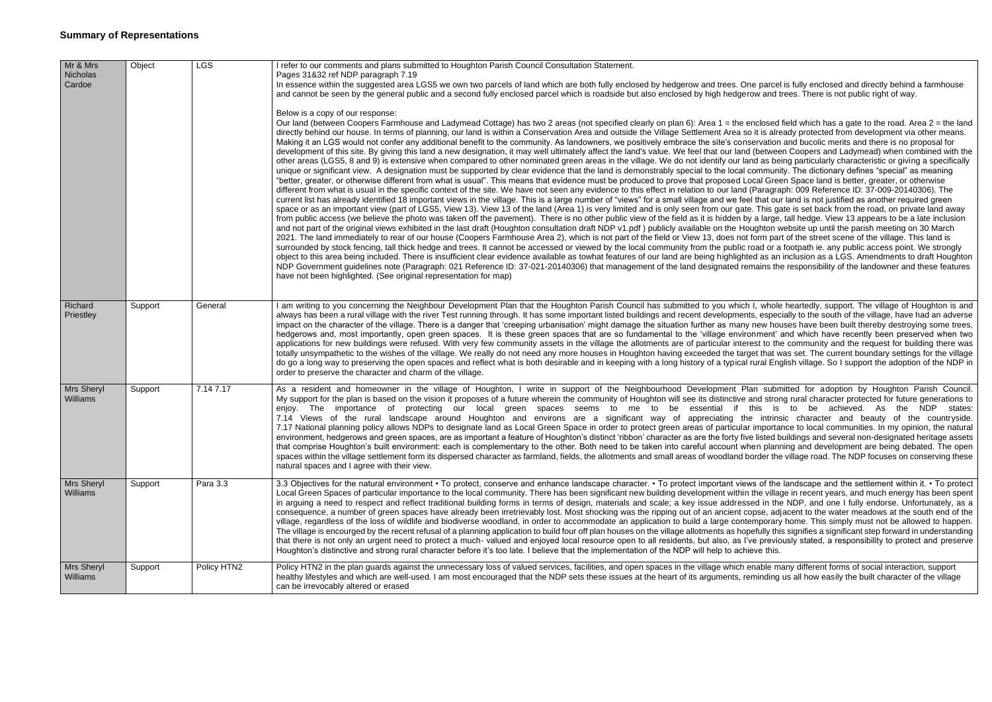| Mr & Mrs<br>Nicholas<br>Cardoe | Object  | <b>LGS</b>  | refer to our comments and plans submitted to Houghton Parish Council Consultation Statement.<br>Pages 31&32 ref NDP paragraph 7.19<br>In essence within the suggested area LGS5 we own two parcels of land which are both fully enclosed by hedgerow and trees. One parce<br>and cannot be seen by the general public and a second fully enclosed parcel which is roadside but also enclosed by high hedgerow and t                                                                                                                                                                                                                                                                                                                                                                                                                                                                                                                                                                                                                                                                                                                                                                                                                                                                                                                                                                                                                                                                                                                                                                                                                                                                                                                                                                                                                                                                                                                                                                                                                                                                                                                                                                                                                                                                                                                                                                                                                                             |
|--------------------------------|---------|-------------|-----------------------------------------------------------------------------------------------------------------------------------------------------------------------------------------------------------------------------------------------------------------------------------------------------------------------------------------------------------------------------------------------------------------------------------------------------------------------------------------------------------------------------------------------------------------------------------------------------------------------------------------------------------------------------------------------------------------------------------------------------------------------------------------------------------------------------------------------------------------------------------------------------------------------------------------------------------------------------------------------------------------------------------------------------------------------------------------------------------------------------------------------------------------------------------------------------------------------------------------------------------------------------------------------------------------------------------------------------------------------------------------------------------------------------------------------------------------------------------------------------------------------------------------------------------------------------------------------------------------------------------------------------------------------------------------------------------------------------------------------------------------------------------------------------------------------------------------------------------------------------------------------------------------------------------------------------------------------------------------------------------------------------------------------------------------------------------------------------------------------------------------------------------------------------------------------------------------------------------------------------------------------------------------------------------------------------------------------------------------------------------------------------------------------------------------------------------------|
|                                |         |             | Below is a copy of our response:<br>Our land (between Coopers Farmhouse and Ladymead Cottage) has two 2 areas (not specified clearly on plan 6): Area 1 = the enclosed<br>directly behind our house. In terms of planning, our land is within a Conservation Area and outside the Village Settlement Area so it is alre<br>Making it an LGS would not confer any additional benefit to the community. As landowners, we positively embrace the site's conservation<br>development of this site. By giving this land a new designation, it may well ultimately affect the land's value. We feel that our land (betwee<br>other areas (LGS5, 8 and 9) is extensive when compared to other nominated green areas in the village. We do not identify our land as be<br>unique or significant view. A designation must be supported by clear evidence that the land is demonstrably special to the local commun<br>"better, greater, or otherwise different from what is usual". This means that evidence must be produced to prove that proposed Local Gree<br>different from what is usual in the specific context of the site. We have not seen any evidence to this effect in relation to our land (Paragrand<br>current list has already identified 18 important views in the village. This is a large number of "views" for a small village and we feel that ou<br>space or as an important view (part of LGS5, View 13). View 13 of the land (Area 1) is very limited and is only seen from our gate. This ga<br>from public access (we believe the photo was taken off the pavement). There is no other public view of the field as it is hidden by a large<br>and not part of the original views exhibited in the last draft (Houghton consultation draft NDP v1.pdf) publicly available on the Houghton v<br>2021. The land immediately to rear of our house (Coopers Farmhouse Area 2), which is not part of the field or View 13, does not form pai<br>surrounded by stock fencing, tall thick hedge and trees. It cannot be accessed or viewed by the local community from the public road or a<br>object to this area being included. There is insufficient clear evidence available as towhat features of our land are being highlighted as an<br>NDP Government guidelines note (Paragraph: 021 Reference ID: 37-021-20140306) that management of the land designated remains th<br>have not been highlighted. (See original representation for map) |
| Richard<br>Priestley           | Support | General     | am writing to you concerning the Neighbour Development Plan that the Houghton Parish Council has submitted to you which I, whole<br>always has been a rural village with the river Test running through. It has some important listed buildings and recent developments, espec<br>impact on the character of the village. There is a danger that 'creeping urbanisation' might damage the situation further as many new ho<br>hedgerows and, most importantly, open green spaces. It is these green spaces that are so fundamental to the 'village environment'<br>applications for new buildings were refused. With very few community assets in the village the allotments are of particular interest to th<br>totally unsympathetic to the wishes of the village. We really do not need any more houses in Houghton having exceeded the target that v<br>do go a long way to preserving the open spaces and reflect what is both desirable and in keeping with a long history of a typical rural En<br>order to preserve the character and charm of the village.                                                                                                                                                                                                                                                                                                                                                                                                                                                                                                                                                                                                                                                                                                                                                                                                                                                                                                                                                                                                                                                                                                                                                                                                                                                                                                                                                                                             |
| Mrs Sheryl<br><b>Williams</b>  | Support | 7.14 7.17   | As a resident and homeowner in the village of Houghton, I write in support of the Neighbourhood Development Plan subr<br>My support for the plan is based on the vision it proposes of a future wherein the community of Houghton will see its distinctive and stro<br>enjoy. The importance of protecting our local green spaces seems to me to be<br>essential if this is<br>7.14 Views of the rural landscape around Houghton and environs are a significant way of appreciating the intrins<br>7.17 National planning policy allows NDPs to designate land as Local Green Space in order to protect green areas of particular importa<br>environment, hedgerows and green spaces, are as important a feature of Houghton's distinct 'ribbon' character as are the forty five listed b<br>that comprise Houghton's built environment: each is complementary to the other. Both need to be taken into careful account when plan<br>spaces within the village settlement form its dispersed character as farmland, fields, the allotments and small areas of woodland border the<br>natural spaces and I agree with their view.                                                                                                                                                                                                                                                                                                                                                                                                                                                                                                                                                                                                                                                                                                                                                                                                                                                                                                                                                                                                                                                                                                                                                                                                                                                                                                                                |
| Mrs Sheryl<br>Williams         | Support | Para 3.3    | 3.3 Objectives for the natural environment • To protect, conserve and enhance landscape character. • To protect important views of the<br>Local Green Spaces of particular importance to the local community. There has been significant new building development within the villa<br>in arguing a need to respect and reflect traditional building forms in terms of design, materials and scale; a key issue addressed in the<br>consequence, a number of green spaces have already been irretrievably lost. Most shocking was the ripping out of an ancient copse, ad<br>village, regardless of the loss of wildlife and biodiverse woodland, in order to accommodate an application to build a large contemporary<br>The village is encourged by the recent refusal of a planning application to build four off plan houses on the village allotments as hopefully thi<br>that there is not only an urgent need to protect a much-valued and enjoyed local resource open to all residents, but also, as I've previd<br>Houghton's distinctive and strong rural character before it's too late. I believe that the implementation of the NDP will help to achieve this.                                                                                                                                                                                                                                                                                                                                                                                                                                                                                                                                                                                                                                                                                                                                                                                                                                                                                                                                                                                                                                                                                                                                                                                                                                                                                      |
| <b>Mrs Sheryl</b><br>Williams  | Support | Policy HTN2 | Policy HTN2 in the plan guards against the unnecessary loss of valued services, facilities, and open spaces in the village which enable m<br>healthy lifestyles and which are well-used. I am most encouraged that the NDP sets these issues at the heart of its arguments, reminding<br>can be irrevocably altered or erased                                                                                                                                                                                                                                                                                                                                                                                                                                                                                                                                                                                                                                                                                                                                                                                                                                                                                                                                                                                                                                                                                                                                                                                                                                                                                                                                                                                                                                                                                                                                                                                                                                                                                                                                                                                                                                                                                                                                                                                                                                                                                                                                   |

ne parcel is fully enclosed and directly behind a farmhouse row and trees. There is not public right of way.

enclosed field which has a gate to the road. Area  $2 =$  the land to it is already protected from development via other means. servation and bucolic merits and there is no proposal for I (between Coopers and Ladymead) when combined with the and as being particularly characteristic or giving a specifically community. The dictionary defines "special" as meaning is ocal Green Space land is better, greater, or otherwise (Paragraph: 009 Reference ID: 37-009-20140306). The el that our land is not justified as another required green te. This gate is set back from the road, on private land away by a large, tall hedge. View 13 appears to be a late inclusion oughton website up until the parish meeting on 30 March form part of the street scene of the village. This land is road or a footpath ie. any public access point. We strongly ted as an inclusion as a LGS. Amendments to draft Houghton mains the responsibility of the landowner and these features

I I, whole heartedly, support. The village of Houghton is and its, especially to the south of the village, have had an adverse new houses have been built thereby destroying some trees, onment' and which have recently been preserved when two rest to the community and the request for building there was get that was set. The current boundary settings for the village rural English village. So I support the adoption of the NDP in

lan submitted for adoption by Houghton Parish Council. and strong rural character protected for future generations to this is to be achieved. As the NDP states: ne intrinsic character and beauty of the countryside. importance to local communities. In my opinion, the natural e listed buildings and several non-designated heritage assets hen planning and development are being debated. The open border the village road. The NDP focuses on conserving these

ws of the landscape and the settlement within it. • To protect ithe village in recent years, and much energy has been spent sed in the NDP, and one I fully endorse. Unfortunately, as a opse, adiacent to the water meadows at the south end of the emporary home. This simply must not be allowed to happen. befully this signifies a significant step forward in understanding ve previously stated, a responsibility to protect and preserve

enable many different forms of social interaction, support eminding us all how easily the built character of the village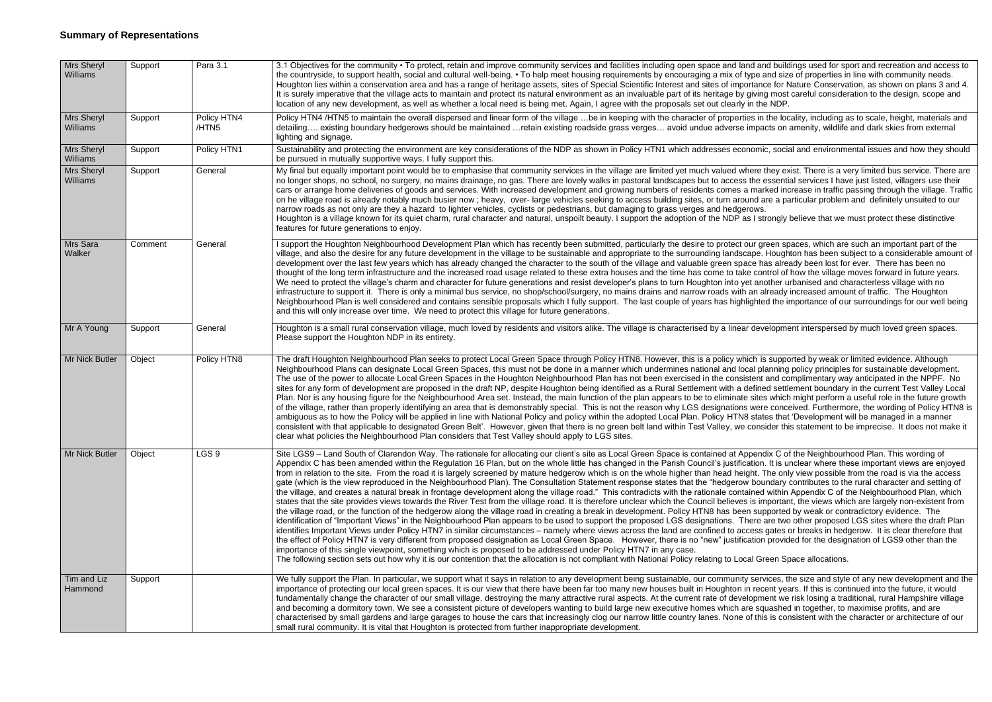| Mrs Sheryl<br>Williams | Support | Para 3.1             | 3.1 Objectives for the community • To protect, retain and improve community services and facilities including open space and land and build<br>the countryside, to support health, social and cultural well-being. • To help meet housing requirements by encouraging a mix of type and siz<br>Houghton lies within a conservation area and has a range of heritage assets, sites of Special Scientific Interest and sites of importance for N<br>It is surely imperative that the village acts to maintain and protect its natural environment as an invaluable part of its heritage by giving most<br>location of any new development, as well as whether a local need is being met. Again, I agree with the proposals set out clearly in the NDP.                                                                                                                                                                                                                                                                                                                                                                                                                                                                                                                                                                                                                                                                                                                                                                                                                                                                                                                                                                                                  |
|------------------------|---------|----------------------|-------------------------------------------------------------------------------------------------------------------------------------------------------------------------------------------------------------------------------------------------------------------------------------------------------------------------------------------------------------------------------------------------------------------------------------------------------------------------------------------------------------------------------------------------------------------------------------------------------------------------------------------------------------------------------------------------------------------------------------------------------------------------------------------------------------------------------------------------------------------------------------------------------------------------------------------------------------------------------------------------------------------------------------------------------------------------------------------------------------------------------------------------------------------------------------------------------------------------------------------------------------------------------------------------------------------------------------------------------------------------------------------------------------------------------------------------------------------------------------------------------------------------------------------------------------------------------------------------------------------------------------------------------------------------------------------------------------------------------------------------------|
| Mrs Sheryl<br>Williams | Support | Policy HTN4<br>/HTN5 | Policy HTN4 /HTN5 to maintain the overall dispersed and linear form of the village be in keeping with the character of properties in the loo<br>detailing existing boundary hedgerows should be maintained retain existing roadside grass verges avoid undue adverse impacts on<br>lighting and signage.                                                                                                                                                                                                                                                                                                                                                                                                                                                                                                                                                                                                                                                                                                                                                                                                                                                                                                                                                                                                                                                                                                                                                                                                                                                                                                                                                                                                                                              |
| Mrs Sheryl<br>Williams | Support | Policy HTN1          | Sustainability and protecting the environment are key considerations of the NDP as shown in Policy HTN1 which addresses economic, social<br>be pursued in mutually supportive ways. I fully support this.                                                                                                                                                                                                                                                                                                                                                                                                                                                                                                                                                                                                                                                                                                                                                                                                                                                                                                                                                                                                                                                                                                                                                                                                                                                                                                                                                                                                                                                                                                                                             |
| Mrs Sheryl<br>Williams | Support | General              | My final but equally important point would be to emphasise that community services in the village are limited yet much valued where they ex-<br>no longer shops, no school, no surgery, no mains drainage, no gas. There are lovely walks in pastoral landscapes but to access the essenti<br>cars or arrange home deliveries of goods and services. With increased development and growing numbers of residents comes a marked ind<br>on he village road is already notably much busier now; heavy, over-large vehicles seeking to access building sites, or turn around are a pa<br>narrow roads as not only are they a hazard to lighter vehicles, cyclists or pedestrians, but damaging to grass verges and hedgerows.<br>Houghton is a village known for its quiet charm, rural character and natural, unspoilt beauty. I support the adoption of the NDP as I strongly<br>features for future generations to enjoy.                                                                                                                                                                                                                                                                                                                                                                                                                                                                                                                                                                                                                                                                                                                                                                                                                             |
| Mrs Sara<br>Walker     | Comment | General              | I support the Houghton Neighbourhood Development Plan which has recently been submitted, particularly the desire to protect our green sp<br>village, and also the desire for any future development in the village to be sustainable and appropriate to the surrounding landscape. Hough<br>development over the last few years which has already changed the character to the south of the village and valuable green space has alre<br>thought of the long term infrastructure and the increased road usage related to these extra houses and the time has come to take control of<br>We need to protect the village's charm and character for future generations and resist developer's plans to turn Houghton into yet another u<br>infrastructure to support it. There is only a minimal bus service, no shop/school/surgery, no mains drains and narrow roads with an already<br>Neighbourhood Plan is well considered and contains sensible proposals which I fully support. The last couple of years has highlighted the i<br>and this will only increase over time. We need to protect this village for future generations.                                                                                                                                                                                                                                                                                                                                                                                                                                                                                                                                                                                                                  |
| Mr A Young             | Support | General              | Houghton is a small rural conservation village, much loved by residents and visitors alike. The village is characterised by a linear developme<br>Please support the Houghton NDP in its entirety.                                                                                                                                                                                                                                                                                                                                                                                                                                                                                                                                                                                                                                                                                                                                                                                                                                                                                                                                                                                                                                                                                                                                                                                                                                                                                                                                                                                                                                                                                                                                                    |
| Mr Nick Butler         | Object  | Policy HTN8          | The draft Houghton Neighbourhood Plan seeks to protect Local Green Space through Policy HTN8. However, this is a policy which is suppo<br>Neighbourhood Plans can designate Local Green Spaces, this must not be done in a manner which undermines national and local planning<br>The use of the power to allocate Local Green Spaces in the Houghton Neighbourhood Plan has not been exercised in the consistent and co<br>sites for any form of development are proposed in the draft NP, despite Houghton being identified as a Rural Settlement with a defined settl<br>Plan. Nor is any housing figure for the Neighbourhood Area set. Instead, the main function of the plan appears to be to eliminate sites which<br>of the village, rather than properly identifying an area that is demonstrably special. This is not the reason why LGS designations were conce<br>ambiguous as to how the Policy will be applied in line with National Policy and policy within the adopted Local Plan. Policy HTN8 states that<br>consistent with that applicable to designated Green Belt'. However, given that there is no green belt land within Test Valley, we consider thi<br>clear what policies the Neighbourhood Plan considers that Test Valley should apply to LGS sites.                                                                                                                                                                                                                                                                                                                                                                                                                                                                     |
| Mr Nick Butler         | Object  | LGS <sub>9</sub>     | Site LGS9 - Land South of Clarendon Way. The rationale for allocating our client's site as Local Green Space is contained at Appendix C o<br>Appendix C has been amended within the Regulation 16 Plan, but on the whole little has changed in the Parish Council's justification. It is u<br>from in relation to the site. From the road it is largely screened by mature hedgerow which is on the whole higher than head height. The onl<br>gate (which is the view reproduced in the Neighbourhood Plan). The Consultation Statement response states that the "hedgerow boundary<br>the village, and creates a natural break in frontage development along the village road." This contradicts with the rationale contained within<br>states that the site provides views towards the River Test from the village road. It is therefore unclear which the Council believes is importar<br>the village road, or the function of the hedgerow along the village road in creating a break in development. Policy HTN8 has been supported<br>identification of "Important Views" in the Neighbourhood Plan appears to be used to support the proposed LGS designations. There are two<br>identifies Important Views under Policy HTN7 in similar circumstances - namely where views across the land are confined to access gates<br>the effect of Policy HTN7 is very different from proposed designation as Local Green Space. However, there is no "new" justification provic<br>importance of this single viewpoint, something which is proposed to be addressed under Policy HTN7 in any case.<br>The following section sets out how why it is our contention that the allocation is not compliant with National Policy relating to Local Green Sp |
| Tim and Liz<br>Hammond | Support |                      | We fully support the Plan. In particular, we support what it says in relation to any development being sustainable, our community services, tl<br>importance of protecting our local green spaces. It is our view that there have been far too many new houses built in Houghton in recent yea<br>fundamentally change the character of our small village, destroying the many attractive rural aspects. At the current rate of development we<br>and becoming a dormitory town. We see a consistent picture of developers wanting to build large new executive homes which are squashed<br>characterised by small gardens and large garages to house the cars that increasingly clog our narrow little country lanes. None of this is cor<br>small rural community. It is vital that Houghton is protected from further inappropriate development.                                                                                                                                                                                                                                                                                                                                                                                                                                                                                                                                                                                                                                                                                                                                                                                                                                                                                                   |

nd and buildings used for sport and recreation and access to type and size of properties in line with community needs. ortance for Nature Conservation, as shown on plans 3 and 4. giving most careful consideration to the design, scope and

les in the locality, including as to scale, height, materials and impacts on amenity, wildlife and dark skies from external

nomic, social and environmental issues and how they should

here they exist. There is a very limited bus service. There are the essential services I have iust listed, villagers use their a marked increase in traffic passing through the village. Traffic und are a particular problem and definitely unsuited to our

is I strongly believe that we must protect these distinctive

bur green spaces, which are such an important part of the ape. Houghton has been subject to a considerable amount of ace has already been lost for ever. There has been no te control of how the village moves forward in future years. et another urbanised and characterless village with no an already increased amount of traffic. The Houghton lighted the importance of our surroundings for our well being

development interspersed by much loved green spaces.

ich is supported by weak or limited evidence. Although cal planning policy principles for sustainable development. stent and complimentary way anticipated in the NPPF. No defined settlement boundary in the current Test Valley Local  $\theta$  sites which might perform a useful role in the future growth were conceived. Furthermore, the wording of Policy HTN8 is states that 'Development will be managed in a manner consider this statement to be imprecise. It does not make it

opendix C of the Neighbourhood Plan. This wording of ation. It is unclear where these important views are enjoyed ght. The only view possible from the road is via the access boundary contributes to the rural character and setting of ained within Appendix C of the Neighbourhood Plan, which is important, the views which are largely non-existent from in supported by weak or contradictory evidence. The here are two other proposed LGS sites where the draft Plan cess gates or breaks in hedgerow. It is clear therefore that ation provided for the designation of LGS9 other than the

al Green Space allocations.

services, the size and style of any new development and the n recent years. If this is continued into the future, it would lopment we risk losing a traditional, rural Hampshire village re squashed in together, to maximise profits, and are of this is consistent with the character or architecture of our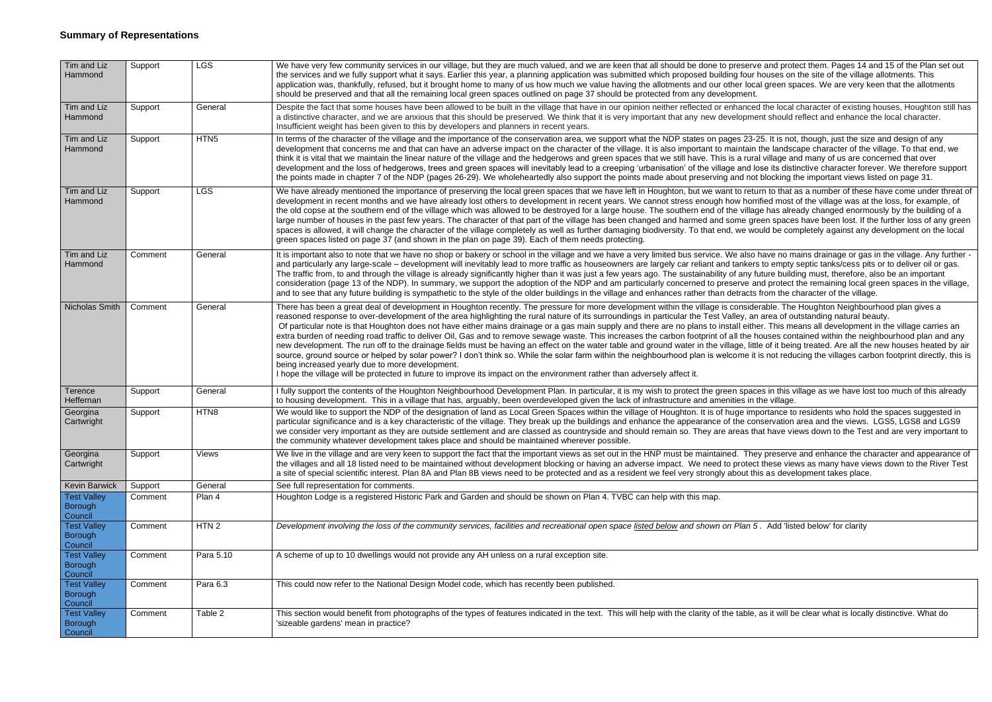| Tim and Liz<br>Hammond                          | Support | <b>LGS</b>       | We have very few community services in our village, but they are much valued, and we are keen that all should be done to preserve and prot<br>the services and we fully support what it says. Earlier this year, a planning application was submitted which proposed building four houses on<br>application was, thankfully, refused, but it brought home to many of us how much we value having the allotments and our other local green sp                                                                                                                                                                                                                                                                                                                                                                                                                                                                                                                                                                                                                                               |
|-------------------------------------------------|---------|------------------|--------------------------------------------------------------------------------------------------------------------------------------------------------------------------------------------------------------------------------------------------------------------------------------------------------------------------------------------------------------------------------------------------------------------------------------------------------------------------------------------------------------------------------------------------------------------------------------------------------------------------------------------------------------------------------------------------------------------------------------------------------------------------------------------------------------------------------------------------------------------------------------------------------------------------------------------------------------------------------------------------------------------------------------------------------------------------------------------|
|                                                 |         |                  | should be preserved and that all the remaining local green spaces outlined on page 37 should be protected from any development.                                                                                                                                                                                                                                                                                                                                                                                                                                                                                                                                                                                                                                                                                                                                                                                                                                                                                                                                                            |
| Tim and Liz<br>Hammond                          | Support | General          | Despite the fact that some houses have been allowed to be built in the village that have in our opinion neither reflected or enhanced the local<br>a distinctive character, and we are anxious that this should be preserved. We think that it is very important that any new development should<br>Insufficient weight has been given to this by developers and planners in recent years.                                                                                                                                                                                                                                                                                                                                                                                                                                                                                                                                                                                                                                                                                                 |
| Tim and Liz<br>Hammond                          | Support | HTN <sub>5</sub> | In terms of the character of the village and the importance of the conservation area, we support what the NDP states on pages 23-25. It is not<br>development that concerns me and that can have an adverse impact on the character of the village. It is also important to maintain the landsc<br>think it is vital that we maintain the linear nature of the village and the hedgerows and green spaces that we still have. This is a rural village are<br>development and the loss of hedgerows, trees and green spaces will inevitably lead to a creeping 'urbanisation' of the village and lose its dist<br>the points made in chapter 7 of the NDP (pages 26-29). We wholeheartedly also support the points made about preserving and not blocking t                                                                                                                                                                                                                                                                                                                                 |
| Tim and Liz<br>Hammond                          | Support | <b>LGS</b>       | We have already mentioned the importance of preserving the local green spaces that we have left in Houghton, but we want to return to that a<br>development in recent months and we have already lost others to development in recent years. We cannot stress enough how horrified most<br>the old copse at the southern end of the village which was allowed to be destroyed for a large house. The southern end of the village has alre<br>large number of houses in the past few years. The character of that part of the village has been changed and harmed and some green space<br>spaces is allowed, it will change the character of the village completely as well as further damaging biodiversity. To that end, we would be cor<br>green spaces listed on page 37 (and shown in the plan on page 39). Each of them needs protecting.                                                                                                                                                                                                                                             |
| Tim and Liz<br>Hammond                          | Comment | General          | It is important also to note that we have no shop or bakery or school in the village and we have a very limited bus service. We also have no m<br>and particularly any large-scale – development will inevitably lead to more traffic as houseowners are largely car reliant and tankers to empty<br>The traffic from, to and through the village is already significantly higher than it was just a few years ago. The sustainability of any future build<br>consideration (page 13 of the NDP). In summary, we support the adoption of the NDP and am particularly concerned to preserve and protect<br>and to see that any future building is sympathetic to the style of the older buildings in the village and enhances rather than detracts from the c                                                                                                                                                                                                                                                                                                                               |
| Nicholas Smith                                  | Comment | General          | There has been a great deal of development in Houghton recently. The pressure for more development within the village is considerable. The<br>reasoned response to over-development of the area highlighting the rural nature of its surroundings in particular the Test Valley, an area of our<br>Of particular note is that Houghton does not have either mains drainage or a gas main supply and there are no plans to install either. This me<br>extra burden of needing road traffic to deliver Oil, Gas and to remove sewage waste. This increases the carbon footprint of all the houses con<br>new development. The run off to the drainage fields must be having an effect on the water table and ground water in the village, little of it beir<br>source, ground source or helped by solar power? I don't think so. While the solar farm within the neighbourhood plan is welcome it is not redu<br>being increased yearly due to more development.<br>I hope the village will be protected in future to improve its impact on the environment rather than adversely affect it. |
| Terence<br>Heffernan                            | Support | General          | I fully support the contents of the Houghton Neighbourhood Development Plan. In particular, it is my wish to protect the green spaces in this v<br>to housing development. This in a village that has, arguably, been overdeveloped given the lack of infrastructure and amenities in the village.                                                                                                                                                                                                                                                                                                                                                                                                                                                                                                                                                                                                                                                                                                                                                                                         |
| Georgina<br>Cartwright                          | Support | HTN8             | We would like to support the NDP of the designation of land as Local Green Spaces within the village of Houghton. It is of huge importance to<br>particular significance and is a key characteristic of the village. They break up the buildings and enhance the appearance of the conservation<br>we consider very important as they are outside settlement and are classed as countryside and should remain so. They are areas that have vie<br>the community whatever development takes place and should be maintained wherever possible.                                                                                                                                                                                                                                                                                                                                                                                                                                                                                                                                               |
| Georgina<br>Cartwright                          | Support | Views            | We live in the village and are very keen to support the fact that the important views as set out in the HNP must be maintained. They preserve<br>the villages and all 18 listed need to be maintained without development blocking or having an adverse impact. We need to protect these vie<br>a site of special scientific interest. Plan 8A and Plan 8B views need to be protected and as a resident we feel very strongly about this as deve                                                                                                                                                                                                                                                                                                                                                                                                                                                                                                                                                                                                                                           |
| <b>Kevin Barwick</b>                            | Support | General          | See full representation for comments.                                                                                                                                                                                                                                                                                                                                                                                                                                                                                                                                                                                                                                                                                                                                                                                                                                                                                                                                                                                                                                                      |
| <b>Test Valley</b><br><b>Borough</b><br>Council | Comment | Plan 4           | Houghton Lodge is a registered Historic Park and Garden and should be shown on Plan 4. TVBC can help with this map.                                                                                                                                                                                                                                                                                                                                                                                                                                                                                                                                                                                                                                                                                                                                                                                                                                                                                                                                                                        |
| <b>Test Valley</b><br>Borough<br>Council        | Comment | HTN <sub>2</sub> | Development involving the loss of the community services, facilities and recreational open space listed below and shown on Plan 5. Add 'list                                                                                                                                                                                                                                                                                                                                                                                                                                                                                                                                                                                                                                                                                                                                                                                                                                                                                                                                               |
| <b>Test Valley</b><br><b>Borough</b><br>Council | Comment | Para 5.10        | A scheme of up to 10 dwellings would not provide any AH unless on a rural exception site.                                                                                                                                                                                                                                                                                                                                                                                                                                                                                                                                                                                                                                                                                                                                                                                                                                                                                                                                                                                                  |
| <b>Test Valley</b><br>Borough<br>Council        | Comment | Para 6.3         | This could now refer to the National Design Model code, which has recently been published.                                                                                                                                                                                                                                                                                                                                                                                                                                                                                                                                                                                                                                                                                                                                                                                                                                                                                                                                                                                                 |
| <b>Test Valley</b><br>Borough<br>Council        | Comment | Table 2          | This section would benefit from photographs of the types of features indicated in the text. This will help with the clarity of the table, as it will b<br>'sizeable gardens' mean in practice?                                                                                                                                                                                                                                                                                                                                                                                                                                                                                                                                                                                                                                                                                                                                                                                                                                                                                             |

erve and protect them. Pages 14 and 15 of the Plan set out our houses on the site of the village allotments. This local green spaces. We are very keen that the allotments

iced the local character of existing houses, Houghton still has oment should reflect and enhance the local character.

23-25. It is not, though, just the size and design of any ain the landscape character of the village. To that end, we tural village and many of us are concerned that over d lose its distinctive character forever. We therefore support not blocking the important views listed on page 31.

return to that as a number of these have come under threat of norrified most of the village was at the loss, for example, of illage has already changed enormously by the building of a green spaces have been lost. If the further loss of any green would be completely against any development on the local

Iso have no mains drainage or gas in the village. Any further kers to empty septic tanks/cess pits or to deliver oil or gas. iy future building must, therefore, also be an important and protect the remaining local green spaces in the village, cts from the character of the village.

iderable. The Houghton Neighbourhood plan gives a an area of outstanding natural beauty.

either. This means all development in the village carries an e houses contained within the neighbourhood plan and any little of it being treated. Are all the new houses heated by air it is not reducing the villages carbon footprint directly, this is

baces in this village as we have lost too much of this already

importance to residents who hold the spaces suggested in conservation area and the views. LGS5, LGS8 and LGS9 that have views down to the Test and are very important to.

They preserve and enhance the character and appearance of tect these views as many have views down to the River Test. this as development takes place.

Comment HTN 2 *Development involving the loss of the community services, facilities and recreational open space listed below and shown on Plan 5 .* Add 'listed below' for clarity

ble, as it will be clear what is locally distinctive. What do